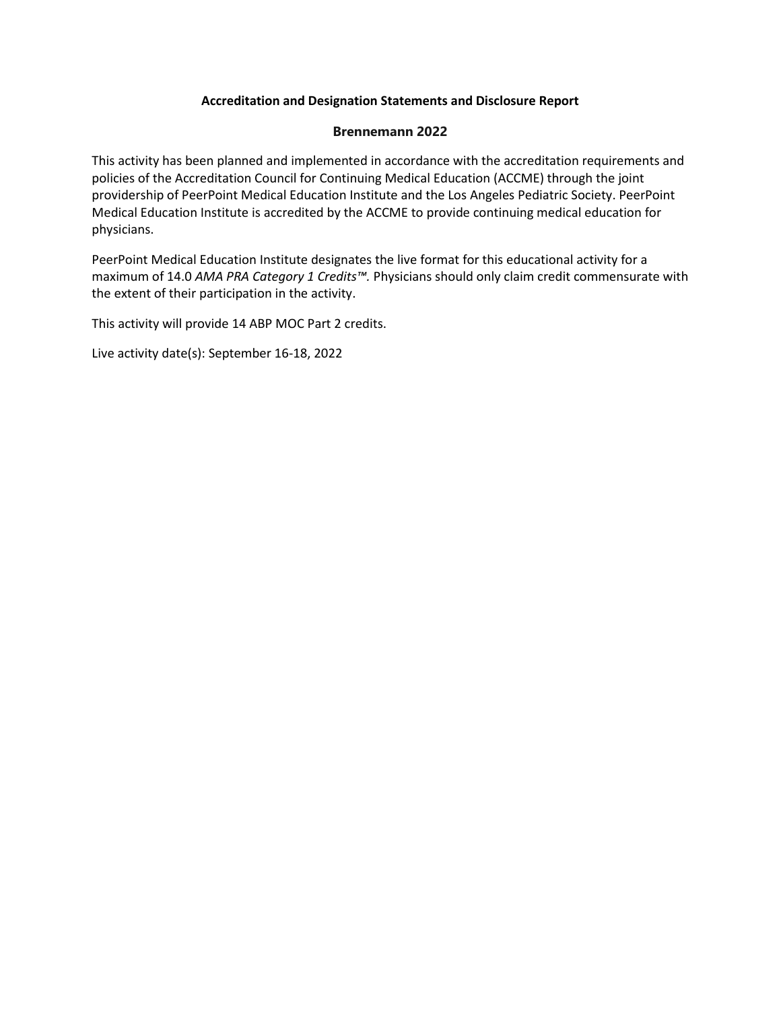## **Accreditation and Designation Statements and Disclosure Report**

## **Brennemann 2022**

This activity has been planned and implemented in accordance with the accreditation requirements and policies of the Accreditation Council for Continuing Medical Education (ACCME) through the joint providership of PeerPoint Medical Education Institute and the Los Angeles Pediatric Society. PeerPoint Medical Education Institute is accredited by the ACCME to provide continuing medical education for physicians.

PeerPoint Medical Education Institute designates the live format for this educational activity for a maximum of 14.0 *AMA PRA Category 1 Credits™.* Physicians should only claim credit commensurate with the extent of their participation in the activity.

This activity will provide 14 ABP MOC Part 2 credits.

Live activity date(s): September 16-18, 2022